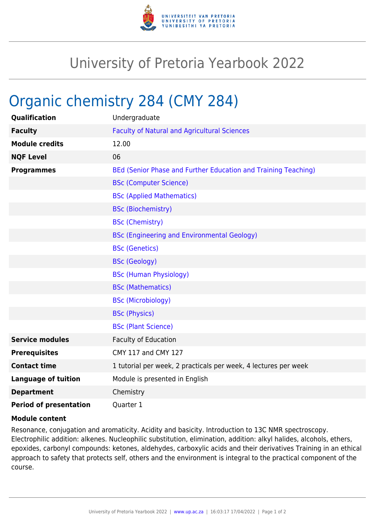

## University of Pretoria Yearbook 2022

## Organic chemistry 284 (CMY 284)

| Qualification                 | Undergraduate                                                   |
|-------------------------------|-----------------------------------------------------------------|
| <b>Faculty</b>                | <b>Faculty of Natural and Agricultural Sciences</b>             |
| <b>Module credits</b>         | 12.00                                                           |
| <b>NQF Level</b>              | 06                                                              |
| <b>Programmes</b>             | BEd (Senior Phase and Further Education and Training Teaching)  |
|                               | <b>BSc (Computer Science)</b>                                   |
|                               | <b>BSc (Applied Mathematics)</b>                                |
|                               | <b>BSc (Biochemistry)</b>                                       |
|                               | <b>BSc (Chemistry)</b>                                          |
|                               | <b>BSc (Engineering and Environmental Geology)</b>              |
|                               | <b>BSc (Genetics)</b>                                           |
|                               | <b>BSc (Geology)</b>                                            |
|                               | <b>BSc (Human Physiology)</b>                                   |
|                               | <b>BSc (Mathematics)</b>                                        |
|                               | <b>BSc (Microbiology)</b>                                       |
|                               | <b>BSc (Physics)</b>                                            |
|                               | <b>BSc (Plant Science)</b>                                      |
| <b>Service modules</b>        | Faculty of Education                                            |
| <b>Prerequisites</b>          | CMY 117 and CMY 127                                             |
| <b>Contact time</b>           | 1 tutorial per week, 2 practicals per week, 4 lectures per week |
| <b>Language of tuition</b>    | Module is presented in English                                  |
| <b>Department</b>             | Chemistry                                                       |
| <b>Period of presentation</b> | Quarter 1                                                       |

## **Module content**

Resonance, conjugation and aromaticity. Acidity and basicity. Introduction to 13C NMR spectroscopy. Electrophilic addition: alkenes. Nucleophilic substitution, elimination, addition: alkyl halides, alcohols, ethers, epoxides, carbonyl compounds: ketones, aldehydes, carboxylic acids and their derivatives Training in an ethical approach to safety that protects self, others and the environment is integral to the practical component of the course.